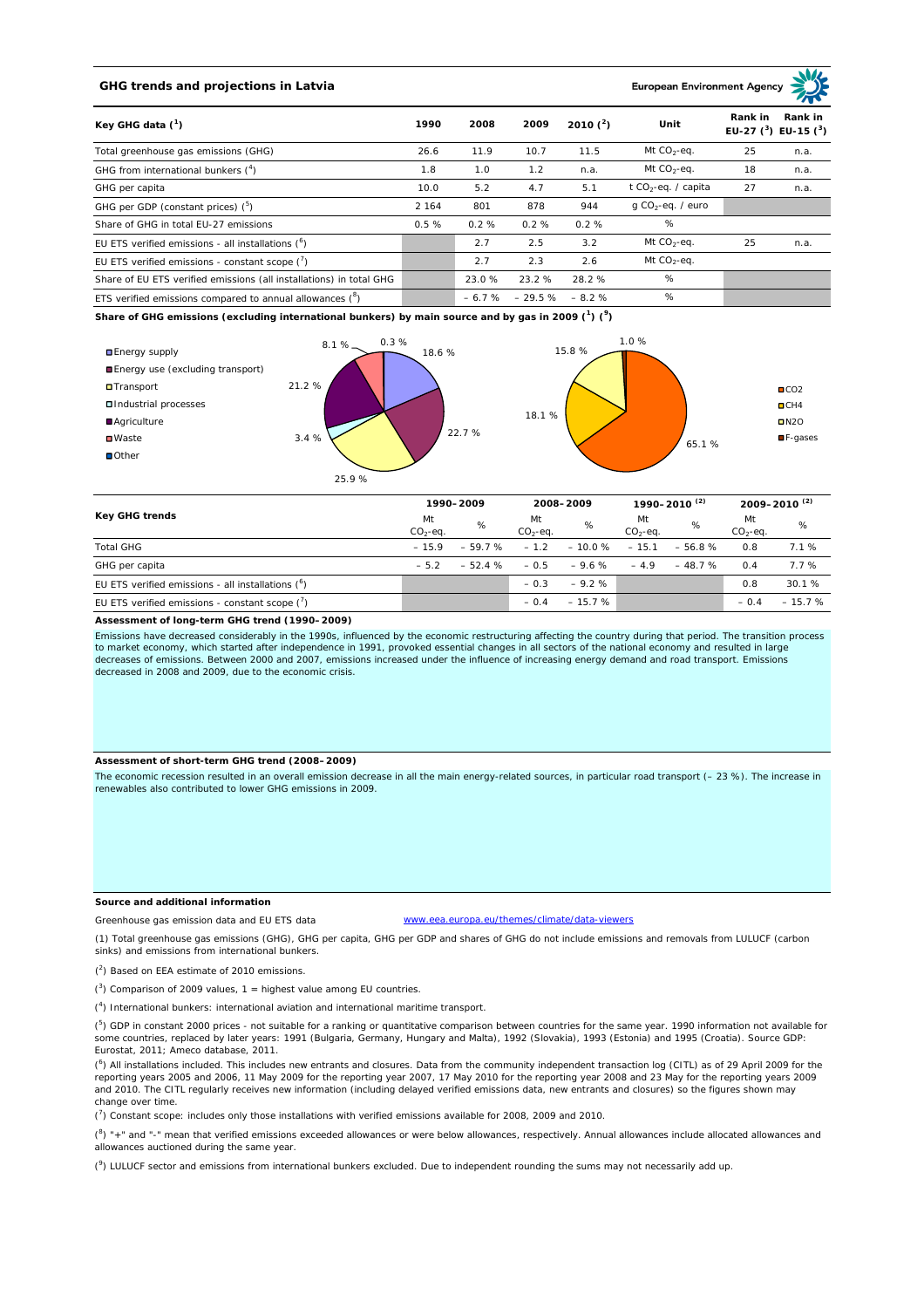# **GHG trends and projections in Latvia**

**European Environment Ag** 

| Key GHG data $(^1)$                                                 | 1990    | 2008    | 2009     | 2010 $(^{2})$ | Unit                            | Rank in | Rank in<br>EU-27 $(^{3})$ EU-15 $(^{3})$ |
|---------------------------------------------------------------------|---------|---------|----------|---------------|---------------------------------|---------|------------------------------------------|
| Total greenhouse gas emissions (GHG)                                | 26.6    | 11.9    | 10.7     | 11.5          | Mt $CO2$ -eq.                   | 25      | n.a.                                     |
| GHG from international bunkers $(^4)$                               | 1.8     | 1.0     | 1.2      | n.a.          | Mt $CO_2$ -eq.                  | 18      | n.a.                                     |
| GHG per capita                                                      | 10.0    | 5.2     | 4.7      | 5.1           | t CO <sub>2</sub> -eq. / capita | 27      | n.a.                                     |
| GHG per GDP (constant prices) $(^5)$                                | 2 1 6 4 | 801     | 878      | 944           | $q$ CO <sub>2</sub> -eq. / euro |         |                                          |
| Share of GHG in total EU-27 emissions                               | 0.5%    | 0.2%    | 0.2%     | 0.2%          | %                               |         |                                          |
| EU ETS verified emissions - all installations $(°)$                 |         | 2.7     | 2.5      | 3.2           | Mt $CO_2$ -eq.                  | 25      | n.a.                                     |
| EU ETS verified emissions - constant scope $(\vec{r})$              |         | 2.7     | 2.3      | 2.6           | Mt $CO_2$ -eq.                  |         |                                          |
| Share of EU ETS verified emissions (all installations) in total GHG |         | 23.0%   | 23.2 %   | 28.2%         | %                               |         |                                          |
| ETS verified emissions compared to annual allowances $(^8)$         |         | $-6.7%$ | $-29.5%$ | $-8.2%$       | %                               |         |                                          |

**Share of GHG emissions (excluding international bunkers) by main source and by gas in 2009 (<sup>1</sup> ) (<sup>9</sup> )**



| Key GHG trends                                      |                 | 1990-2009 |                 | 2008-2009 |                 | 1990–2010 <sup>(2)</sup> |                 | 2009-2010 <sup>(2)</sup> |  |
|-----------------------------------------------------|-----------------|-----------|-----------------|-----------|-----------------|--------------------------|-----------------|--------------------------|--|
|                                                     | Mt<br>$CO2-eq.$ | %         | Mt<br>$CO2-eq.$ | %         | Mt<br>$CO2-eq.$ | %                        | Mt<br>$CO2-eq.$ | %                        |  |
| <b>Total GHG</b>                                    | $-15.9$         | $-59.7%$  | $-1.2$          | $-10.0\%$ | $-15.1$         | $-56.8%$                 | 0.8             | 7.1%                     |  |
| GHG per capita                                      | $-52$           | $-52.4%$  | $-0.5$          | $-9.6%$   | $-4.9$          | $-48.7%$                 | 0.4             | 7.7%                     |  |
| EU ETS verified emissions - all installations $(°)$ |                 |           | $-0.3$          | $-9.2%$   |                 |                          | 0.8             | 30.1%                    |  |
| EU ETS verified emissions - constant scope $(7)$    |                 |           | $-0.4$          | $-15.7%$  |                 |                          | $-0.4$          | $-15.7%$                 |  |

### **Assessment of long-term GHG trend (1990–2009)**

Emissions have decreased considerably in the 1990s, influenced by the economic restructuring affecting the country during that period. The transition process to market economy, which started after independence in 1991, provoked essential changes in all sectors of the national economy and resulted in large decreases of emissions. Between 2000 and 2007, emissions increased under the influence of increasing energy demand and road transport. Emissions decreased in 2008 and 2009, due to the economic crisis.

## **Assessment of short-term GHG trend (2008–2009)**

The economic recession resulted in an overall emission decrease in all the main energy-related sources, in particular road transport (– 23 %). The increase in renewables also contributed to lower GHG emissions in 2009.

## **Source and additional information**

www.eea.europa.eu/themes/climate/data-viewers

(1) Total greenhouse gas emissions (GHG), GHG per capita, GHG per GDP and shares of GHG do not include emissions and removals from LULUCF (carbon sinks) and emissions from international bunkers.

( 2 ) Based on EEA estimate of 2010 emissions.

Greenhouse gas emission data and EU ETS data

 $(3)$  Comparison of 2009 values, 1 = highest value among EU countries.

( 4 ) International bunkers: international aviation and international maritime transport.

 $(^{5})$  GDP in constant 2000 prices - not suitable for a ranking or quantitative comparison between countries for the same year. 1990 information not available for some countries, replaced by later years: 1991 (Bulgaria, Germany, Hungary and Malta), 1992 (Slovakia), 1993 (Estonia) and 1995 (Croatia). Source GDP: Eurostat, 2011; Ameco database, 2011.

(<sup>6</sup>) All installations included. This includes new entrants and closures. Data from the community independent transaction log (CITL) as of 29 April 2009 for the<br>reporting years 2005 and 2006, 11 May 2009 for the reporting and 2010. The CITL regularly receives new information (including delayed verified emissions data, new entrants and closures) so the figures shown may change over time.

 $\binom{7}{1}$  Constant scope: includes only those installations with verified emissions available for 2008, 2009 and 2010.

 $(^{8}$ ) " $+$ " and "-" mean that verified emissions exceeded allowances or were below allowances, respectively. Annual allowances include allocated allowances and allowances auctioned during the same year.

 $(2)$  LULUCF sector and emissions from international bunkers excluded. Due to independent rounding the sums may not necessarily add up.